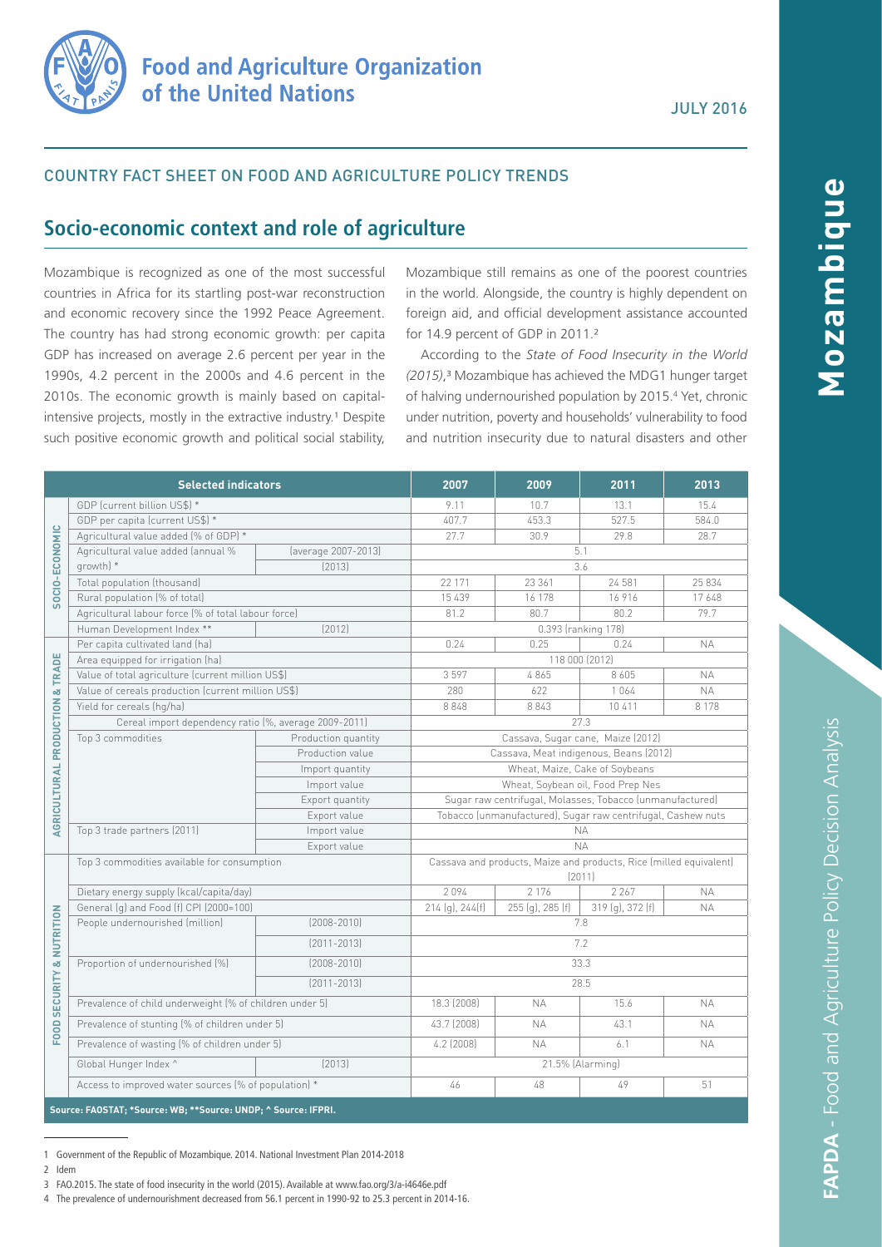

## COUNTRY FACT SHEET ON FOOD AND AGRICULTURE POLICY TRENDS

# **Socio-economic context and role of agriculture**

Mozambique is recognized as one of the most successful countries in Africa for its startling post-war reconstruction and economic recovery since the 1992 Peace Agreement. The country has had strong economic growth: per capita GDP has increased on average 2.6 percent per year in the 1990s, 4.2 percent in the 2000s and 4.6 percent in the 2010s. The economic growth is mainly based on capitalintensive projects, mostly in the extractive industry.<sup>1</sup> Despite such positive economic growth and political social stability,

Mozambique still remains as one of the poorest countries in the world. Alongside, the country is highly dependent on foreign aid, and official development assistance accounted for 14.9 percent of GDP in 2011.²

According to the *State of Food Insecurity in the World (2015)*,³ Mozambique has achieved the MDG1 hunger target of halving undernourished population by 2015.<sup>4</sup> Yet, chronic under nutrition, poverty and households' vulnerability to food and nutrition insecurity due to natural disasters and other

| <b>Selected indicators</b>                                     |                                                         |                     | 2007                                                                         | 2009             | 2011                | 2013      |
|----------------------------------------------------------------|---------------------------------------------------------|---------------------|------------------------------------------------------------------------------|------------------|---------------------|-----------|
| SOCIO-ECONOMIC                                                 | GDP (current billion US\$) *                            |                     | 9.11                                                                         | 10.7             | 13.1                | 15.4      |
|                                                                | GDP per capita (current US\$) *                         |                     | 407.7                                                                        | 453.3            | 527.5               | 584.0     |
|                                                                | Agricultural value added (% of GDP) *                   |                     | 27.7                                                                         | 30.9             | 29.8                | 28.7      |
|                                                                | Agricultural value added (annual %                      | (average 2007-2013) | 5.1                                                                          |                  |                     |           |
|                                                                | growth) *                                               | [2013]              | 3.6                                                                          |                  |                     |           |
|                                                                | Total population (thousand)                             |                     | 22 171                                                                       | 23 361           | 24 581              | 25 834    |
|                                                                | Rural population (% of total)                           |                     | 15 439                                                                       | 16 178           | 16916               | 17648     |
|                                                                | Agricultural labour force (% of total labour force)     |                     | 81.2                                                                         | 80.7             | 80.2                | 79.7      |
|                                                                | Human Development Index **                              | [2012]              |                                                                              |                  | 0.393 (ranking 178) |           |
| & TRADE<br>AGRICULTURAL PRODUCTION                             | Per capita cultivated land (ha)                         |                     | 0.24                                                                         | 0.25             | 0.24                | <b>NA</b> |
|                                                                | Area equipped for irrigation (ha)                       |                     | 118 000 (2012)                                                               |                  |                     |           |
|                                                                | Value of total agriculture (current million US\$)       |                     | 3597                                                                         | 4865             | 8 6 0 5             | <b>NA</b> |
|                                                                | Value of cereals production (current million US\$)      |                     | 280                                                                          | 622              | 1064                | <b>NA</b> |
|                                                                | Yield for cereals (hg/ha)                               |                     | 8848                                                                         | 8 8 4 3          | 10 411              | 8 1 7 8   |
|                                                                | Cereal import dependency ratio (%, average 2009-2011)   |                     | 27.3                                                                         |                  |                     |           |
|                                                                | Top 3 commodities                                       | Production quantity | Cassava, Sugar cane, Maize (2012)                                            |                  |                     |           |
|                                                                |                                                         | Production value    | Cassava, Meat indigenous, Beans (2012)                                       |                  |                     |           |
|                                                                |                                                         | Import quantity     | Wheat, Maize, Cake of Soybeans                                               |                  |                     |           |
|                                                                |                                                         | Import value        | Wheat, Soybean oil, Food Prep Nes                                            |                  |                     |           |
|                                                                |                                                         | Export quantity     | Sugar raw centrifugal, Molasses, Tobacco (unmanufactured)                    |                  |                     |           |
|                                                                |                                                         | Export value        | Tobacco (unmanufactured), Sugar raw centrifugal, Cashew nuts                 |                  |                     |           |
|                                                                | Top 3 trade partners (2011)                             | Import value        | <b>NA</b>                                                                    |                  |                     |           |
|                                                                | Export value                                            |                     | <b>NA</b>                                                                    |                  |                     |           |
| FOOD SECURITY & NUTRITION                                      | Top 3 commodities available for consumption             |                     | Cassava and products, Maize and products, Rice (milled equivalent)<br>[2011] |                  |                     |           |
|                                                                | Dietary energy supply (kcal/capita/day)                 |                     | 2094                                                                         | 2 1 7 6          | 2 2 6 7             | <b>NA</b> |
|                                                                | General (g) and Food (f) CPI (2000=100)                 |                     | $214$ (g), $244$ (f)                                                         | 255 (g), 285 (f) | 319 (g), 372 (f)    | <b>NA</b> |
|                                                                | People undernourished (million)                         | $[2008 - 2010]$     | 7.8                                                                          |                  |                     |           |
|                                                                |                                                         | $[2011 - 2013]$     | 7.2                                                                          |                  |                     |           |
|                                                                | Proportion of undernourished (%)                        | $[2008 - 2010]$     | 33.3                                                                         |                  |                     |           |
|                                                                |                                                         | $[2011 - 2013]$     | 28.5                                                                         |                  |                     |           |
|                                                                | Prevalence of child underweight (% of children under 5) |                     | 18.3 (2008)                                                                  | <b>NA</b>        | 15.6                | <b>NA</b> |
|                                                                | Prevalence of stunting (% of children under 5)          |                     | 43.7 (2008)                                                                  | <b>NA</b>        | 43.1                | <b>NA</b> |
|                                                                | Prevalence of wasting (% of children under 5)           |                     | 4.2 (2008)                                                                   | <b>NA</b>        | 6.1                 | <b>NA</b> |
|                                                                | Global Hunger Index ^                                   | [2013]              |                                                                              | 21.5% (Alarming) |                     |           |
|                                                                | Access to improved water sources (% of population) *    |                     | 46                                                                           | 48               | 49                  | 51        |
| Source: FAOSTAT; *Source: WB; **Source: UNDP; ^ Source: IFPRI. |                                                         |                     |                                                                              |                  |                     |           |

**FAPDA** - Food and Agriculture Policy Decision Analysis

**FAPDA - Food and Agriculture Policy Decision Analysis** 

4 The prevalence of undernourishment decreased from 56.1 percent in 1990-92 to 25.3 percent in 2014-16.

<sup>1</sup> Government of the Republic of Mozambique. 2014. National Investment Plan 2014-2018

<sup>2</sup> Idem

<sup>3</sup> FAO.2015. The state of food insecurity in the world (2015). Available at [www.fao.org/3/a-i4646e.pdf](http://www.fao.org/3/a-i4646e.pdf )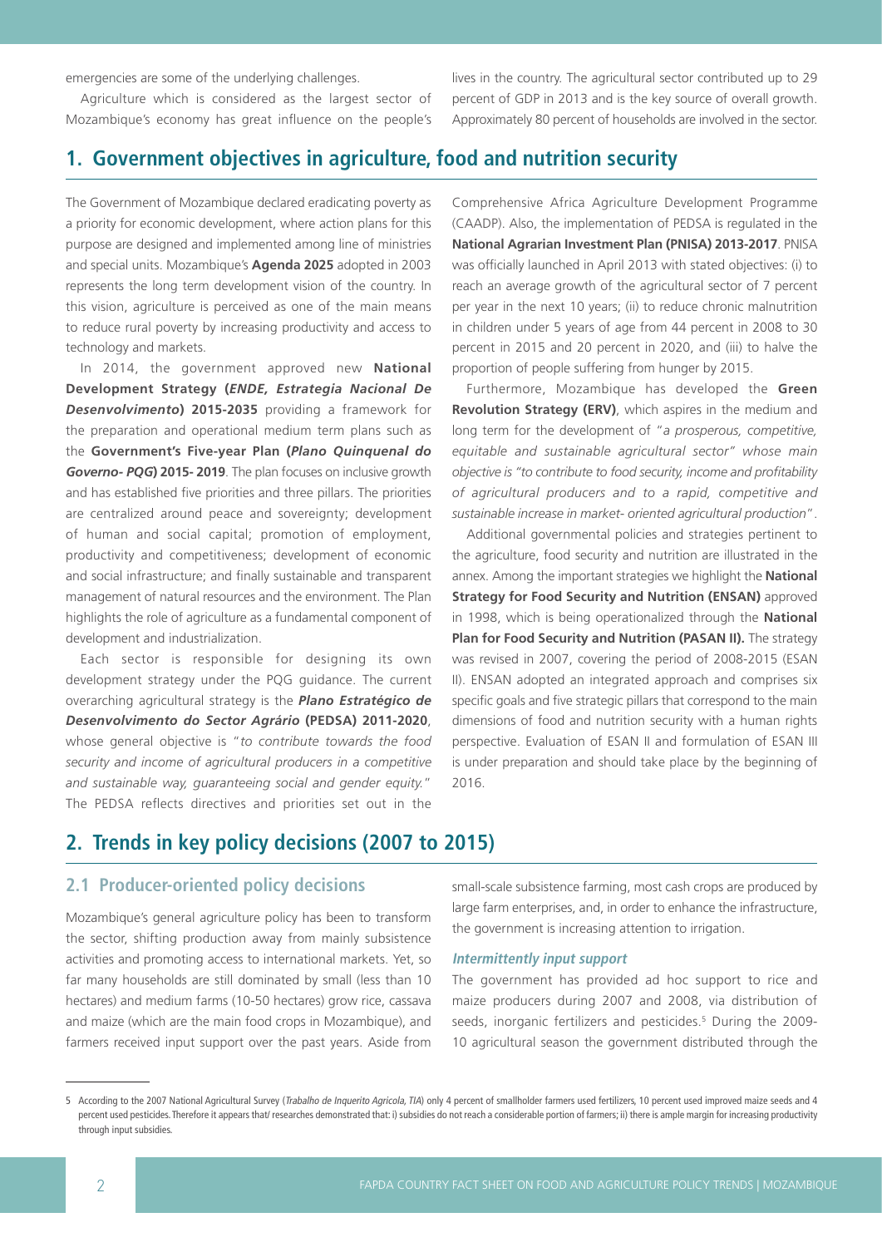emergencies are some of the underlying challenges.

Agriculture which is considered as the largest sector of Mozambique's economy has great influence on the people's lives in the country. The agricultural sector contributed up to 29 percent of GDP in 2013 and is the key source of overall growth. Approximately 80 percent of households are involved in the sector.

# **1. Government objectives in agriculture, food and nutrition security**

The Government of Mozambique declared eradicating poverty as a priority for economic development, where action plans for this purpose are designed and implemented among line of ministries and special units. Mozambique's **Agenda 2025** adopted in 2003 represents the long term development vision of the country. In this vision, agriculture is perceived as one of the main means to reduce rural poverty by increasing productivity and access to technology and markets.

In 2014, the government approved new **National Development Strategy (***ENDE, Estrategia Nacional De Desenvolvimento***) 2015-2035** providing a framework for the preparation and operational medium term plans such as the **Government's Five-year Plan (***Plano Quinquenal do Governo- PQG***) 2015- 2019**. The plan focuses on inclusive growth and has established five priorities and three pillars. The priorities are centralized around peace and sovereignty; development of human and social capital; promotion of employment, productivity and competitiveness; development of economic and social infrastructure; and finally sustainable and transparent management of natural resources and the environment. The Plan highlights the role of agriculture as a fundamental component of development and industrialization.

Each sector is responsible for designing its own development strategy under the PQG guidance. The current overarching agricultural strategy is the *Plano Estratégico de Desenvolvimento do Sector Agrário* **(PEDSA) 2011-2020**, whose general objective is "*to contribute towards the food security and income of agricultural producers in a competitive and sustainable way, guaranteeing social and gender equity.*" The PEDSA reflects directives and priorities set out in the

Comprehensive Africa Agriculture Development Programme (CAADP). Also, the implementation of PEDSA is regulated in the **National Agrarian Investment Plan (PNISA) 2013-2017**. PNISA was officially launched in April 2013 with stated objectives: (i) to reach an average growth of the agricultural sector of 7 percent per year in the next 10 years; (ii) to reduce chronic malnutrition in children under 5 years of age from 44 percent in 2008 to 30 percent in 2015 and 20 percent in 2020, and (iii) to halve the proportion of people suffering from hunger by 2015.

Furthermore, Mozambique has developed the **Green Revolution Strategy (ERV)**, which aspires in the medium and long term for the development of "*a prosperous, competitive, equitable and sustainable agricultural sector" whose main objective is "to contribute to food security, income and profitability of agricultural producers and to a rapid, competitive and sustainable increase in market- oriented agricultural production*".

Additional governmental policies and strategies pertinent to the agriculture, food security and nutrition are illustrated in the annex. Among the important strategies we highlight the **National Strategy for Food Security and Nutrition (ENSAN)** approved in 1998, which is being operationalized through the **National Plan for Food Security and Nutrition (PASAN II).** The strategy was revised in 2007, covering the period of 2008-2015 (ESAN II). ENSAN adopted an integrated approach and comprises six specific goals and five strategic pillars that correspond to the main dimensions of food and nutrition security with a human rights perspective. Evaluation of ESAN II and formulation of ESAN III is under preparation and should take place by the beginning of 2016.

# **2. Trends in key policy decisions (2007 to 2015)**

## **2.1 Producer-oriented policy decisions**

Mozambique's general agriculture policy has been to transform the sector, shifting production away from mainly subsistence activities and promoting access to international markets. Yet, so far many households are still dominated by small (less than 10 hectares) and medium farms (10-50 hectares) grow rice, cassava and maize (which are the main food crops in Mozambique), and farmers received input support over the past years. Aside from

small-scale subsistence farming, most cash crops are produced by large farm enterprises, and, in order to enhance the infrastructure, the government is increasing attention to irrigation.

#### **Intermittently input support**

The government has provided ad hoc support to rice and maize producers during 2007 and 2008, via distribution of seeds, inorganic fertilizers and pesticides.<sup>5</sup> During the 2009-10 agricultural season the government distributed through the

<sup>5</sup> According to the 2007 National Agricultural Survey (Trabalho de Inquerito Agricola, TIA) only 4 percent of smallholder farmers used fertilizers, 10 percent used improved maize seeds and 4 percent used pesticides. Therefore it appears that/ researches demonstrated that: i) subsidies do not reach a considerable portion of farmers; ii) there is ample margin for increasing productivity through input subsidies.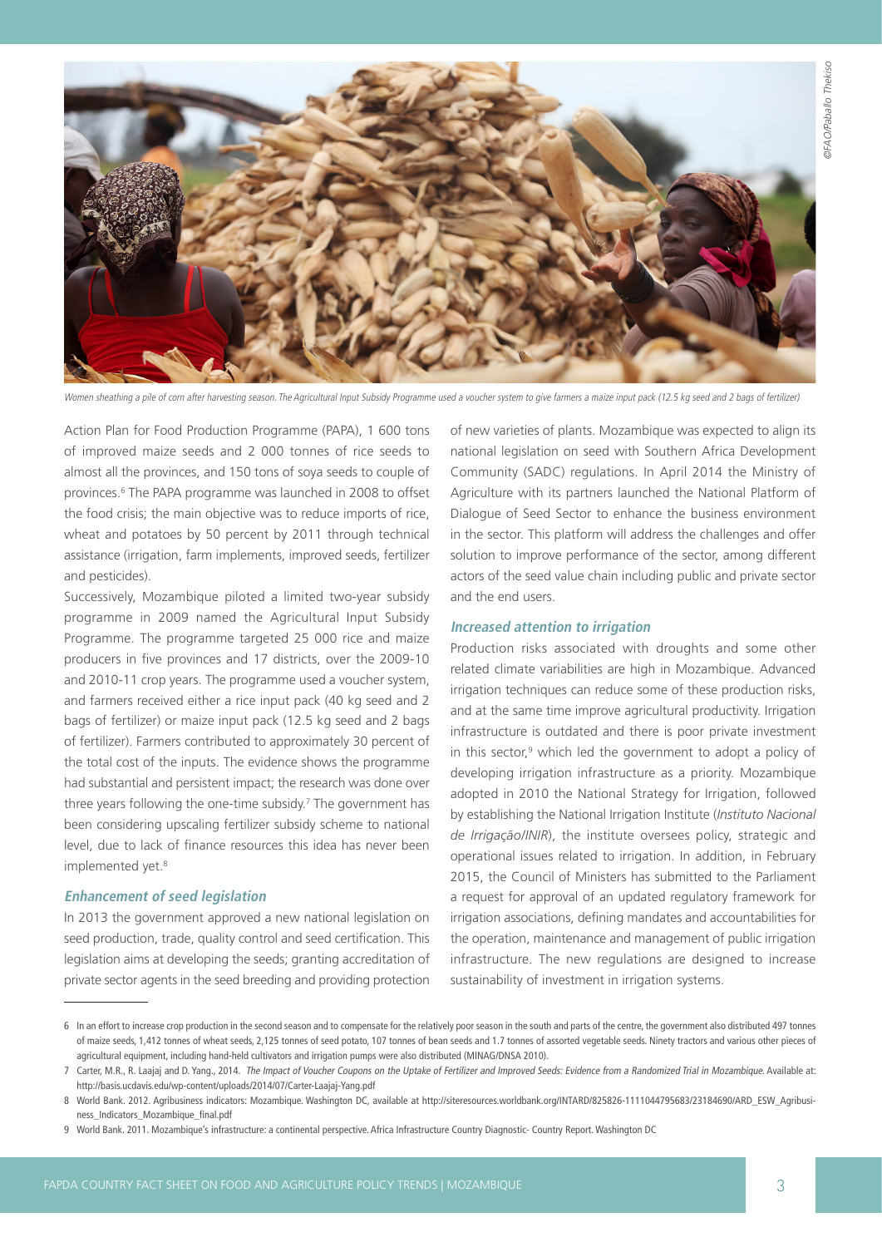

Women sheathing a pile of corn after harvesting season. The Agricultural Input Subsidy Programme used a voucher system to give farmers a maize input pack (12.5 kg seed and 2 bags of fertilizer)

Action Plan for Food Production Programme (PAPA), 1 600 tons of improved maize seeds and 2 000 tonnes of rice seeds to almost all the provinces, and 150 tons of soya seeds to couple of provinces.<sup>6</sup> The PAPA programme was launched in 2008 to offset the food crisis; the main objective was to reduce imports of rice, wheat and potatoes by 50 percent by 2011 through technical assistance (irrigation, farm implements, improved seeds, fertilizer and pesticides).

Successively, Mozambique piloted a limited two-year subsidy programme in 2009 named the Agricultural Input Subsidy Programme. The programme targeted 25 000 rice and maize producers in five provinces and 17 districts, over the 2009-10 and 2010-11 crop years. The programme used a voucher system, and farmers received either a rice input pack (40 kg seed and 2 bags of fertilizer) or maize input pack (12.5 kg seed and 2 bags of fertilizer). Farmers contributed to approximately 30 percent of the total cost of the inputs. The evidence shows the programme had substantial and persistent impact; the research was done over three years following the one-time subsidy.7 The government has been considering upscaling fertilizer subsidy scheme to national level, due to lack of finance resources this idea has never been implemented yet.<sup>8</sup>

#### **Enhancement of seed legislation**

In 2013 the government approved a new national legislation on seed production, trade, quality control and seed certification. This legislation aims at developing the seeds; granting accreditation of private sector agents in the seed breeding and providing protection

of new varieties of plants. Mozambique was expected to align its national legislation on seed with Southern Africa Development Community (SADC) regulations. In April 2014 the Ministry of Agriculture with its partners launched the National Platform of Dialogue of Seed Sector to enhance the business environment in the sector. This platform will address the challenges and offer solution to improve performance of the sector, among different actors of the seed value chain including public and private sector and the end users.

#### **Increased attention to irrigation**

Production risks associated with droughts and some other related climate variabilities are high in Mozambique. Advanced irrigation techniques can reduce some of these production risks, and at the same time improve agricultural productivity. Irrigation infrastructure is outdated and there is poor private investment in this sector,<sup>9</sup> which led the government to adopt a policy of developing irrigation infrastructure as a priority. Mozambique adopted in 2010 the National Strategy for Irrigation, followed by establishing the National Irrigation Institute (*Instituto Nacional de Irrigação/INIR*), the institute oversees policy, strategic and operational issues related to irrigation. In addition, in February 2015, the Council of Ministers has submitted to the Parliament a request for approval of an updated regulatory framework for irrigation associations, defining mandates and accountabilities for the operation, maintenance and management of public irrigation infrastructure. The new regulations are designed to increase sustainability of investment in irrigation systems.

<sup>6</sup> In an effort to increase crop production in the second season and to compensate for the relatively poor season in the south and parts of the centre, the government also distributed 497 tonnes of maize seeds, 1,412 tonnes of wheat seeds, 2,125 tonnes of seed potato, 107 tonnes of bean seeds and 1.7 tonnes of assorted vegetable seeds. Ninety tractors and various other pieces of agricultural equipment, including hand-held cultivators and irrigation pumps were also distributed (MINAG/DNSA 2010).

<sup>7</sup> Carter, M.R., R. Laajaj and D. Yang., 2014. The Impact of Voucher Coupons on the Uptake of Fertilizer and Improved Seeds: Evidence from a Randomized Trial in Mozambique. Available at: [http://basis.ucdavis.edu/wp-content/uploads/2014/07/Carter-Laajaj-Yang.pdf](http://basis.ucdavis.edu/wp-content/uploads/2014/07/Carter-Laajaj-Yang.pdf ) 

<sup>8</sup> World Bank. 2012. Agribusiness indicators: Mozambique. Washington DC, available at [http://siteresources.worldbank.org/INTARD/825826-1111044795683/23184690/ARD\\_ESW\\_Agribusi](http://siteresources.worldbank.org/INTARD/825826-1111044795683/23184690/ARD_ESW_Agribusiness_Indicators_Mozambique_final.pdf )[ness\\_Indicators\\_Mozambique\\_final.pdf](http://siteresources.worldbank.org/INTARD/825826-1111044795683/23184690/ARD_ESW_Agribusiness_Indicators_Mozambique_final.pdf ) 

<sup>9</sup> World Bank. 2011. Mozambique's infrastructure: a continental perspective. Africa Infrastructure Country Diagnostic- Country Report. Washington DC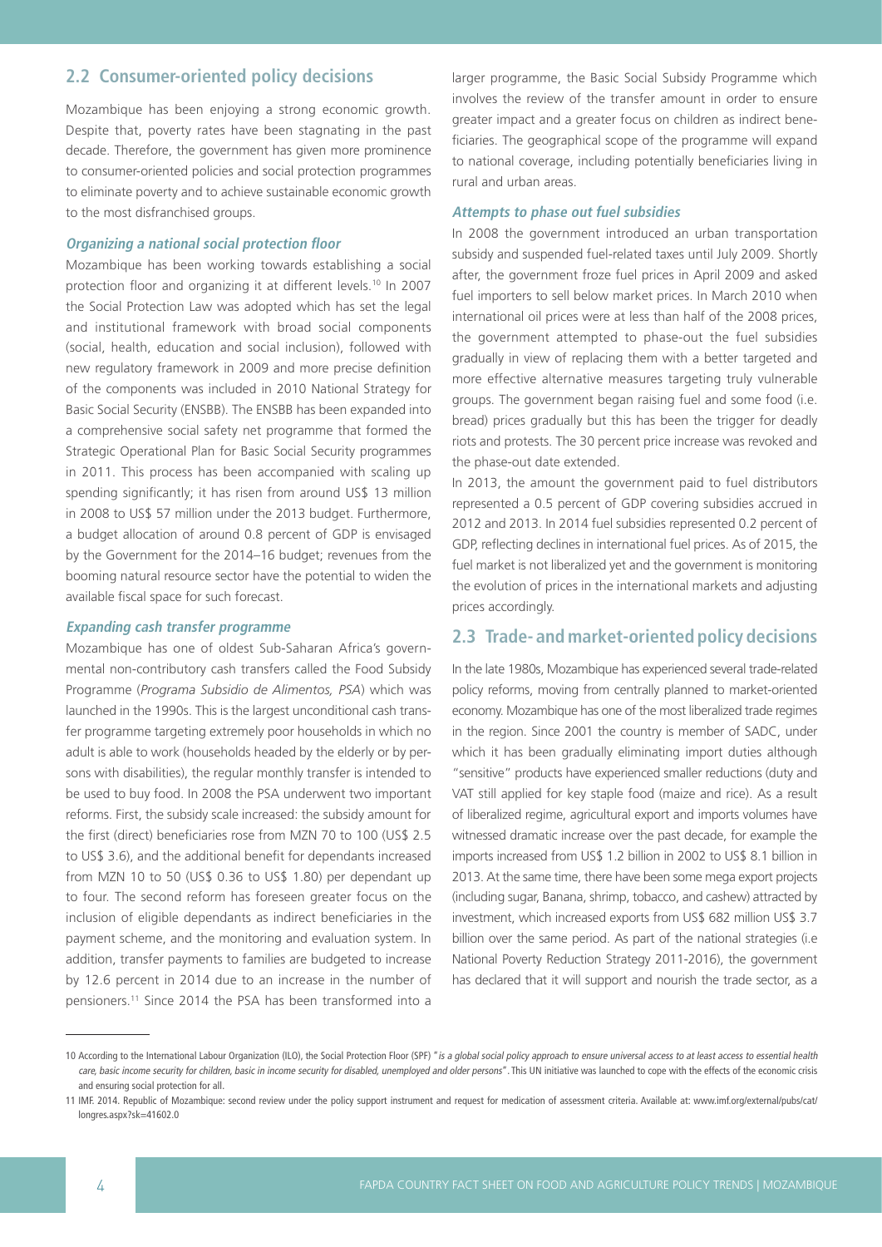## **2.2 Consumer-oriented policy decisions**

Mozambique has been enjoying a strong economic growth. Despite that, poverty rates have been stagnating in the past decade. Therefore, the government has given more prominence to consumer-oriented policies and social protection programmes to eliminate poverty and to achieve sustainable economic growth to the most disfranchised groups.

#### **Organizing a national social protection floor**

Mozambique has been working towards establishing a social protection floor and organizing it at different levels.<sup>10</sup> In 2007 the Social Protection Law was adopted which has set the legal and institutional framework with broad social components (social, health, education and social inclusion), followed with new regulatory framework in 2009 and more precise definition of the components was included in 2010 National Strategy for Basic Social Security (ENSBB). The ENSBB has been expanded into a comprehensive social safety net programme that formed the Strategic Operational Plan for Basic Social Security programmes in 2011. This process has been accompanied with scaling up spending significantly; it has risen from around US\$ 13 million in 2008 to US\$ 57 million under the 2013 budget. Furthermore, a budget allocation of around 0.8 percent of GDP is envisaged by the Government for the 2014–16 budget; revenues from the booming natural resource sector have the potential to widen the available fiscal space for such forecast.

#### **Expanding cash transfer programme**

Mozambique has one of oldest Sub-Saharan Africa's governmental non-contributory cash transfers called the Food Subsidy Programme (*Programa Subsidio de Alimentos, PSA*) which was launched in the 1990s. This is the largest unconditional cash transfer programme targeting extremely poor households in which no adult is able to work (households headed by the elderly or by persons with disabilities), the regular monthly transfer is intended to be used to buy food. In 2008 the PSA underwent two important reforms. First, the subsidy scale increased: the subsidy amount for the first (direct) beneficiaries rose from MZN 70 to 100 (US\$ 2.5 to US\$ 3.6), and the additional benefit for dependants increased from MZN 10 to 50 (US\$ 0.36 to US\$ 1.80) per dependant up to four. The second reform has foreseen greater focus on the inclusion of eligible dependants as indirect beneficiaries in the payment scheme, and the monitoring and evaluation system. In addition, transfer payments to families are budgeted to increase by 12.6 percent in 2014 due to an increase in the number of pensioners.11 Since 2014 the PSA has been transformed into a

larger programme, the Basic Social Subsidy Programme which involves the review of the transfer amount in order to ensure greater impact and a greater focus on children as indirect beneficiaries. The geographical scope of the programme will expand to national coverage, including potentially beneficiaries living in rural and urban areas.

#### **Attempts to phase out fuel subsidies**

In 2008 the government introduced an urban transportation subsidy and suspended fuel-related taxes until July 2009. Shortly after, the government froze fuel prices in April 2009 and asked fuel importers to sell below market prices. In March 2010 when international oil prices were at less than half of the 2008 prices, the government attempted to phase-out the fuel subsidies gradually in view of replacing them with a better targeted and more effective alternative measures targeting truly vulnerable groups. The government began raising fuel and some food (i.e. bread) prices gradually but this has been the trigger for deadly riots and protests. The 30 percent price increase was revoked and the phase-out date extended.

In 2013, the amount the government paid to fuel distributors represented a 0.5 percent of GDP covering subsidies accrued in 2012 and 2013. In 2014 fuel subsidies represented 0.2 percent of GDP, reflecting declines in international fuel prices. As of 2015, the fuel market is not liberalized yet and the government is monitoring the evolution of prices in the international markets and adjusting prices accordingly.

### **2.3 Trade- and market-oriented policy decisions**

In the late 1980s, Mozambique has experienced several trade-related policy reforms, moving from centrally planned to market-oriented economy. Mozambique has one of the most liberalized trade regimes in the region. Since 2001 the country is member of SADC, under which it has been gradually eliminating import duties although "sensitive" products have experienced smaller reductions (duty and VAT still applied for key staple food (maize and rice). As a result of liberalized regime, agricultural export and imports volumes have witnessed dramatic increase over the past decade, for example the imports increased from US\$ 1.2 billion in 2002 to US\$ 8.1 billion in 2013. At the same time, there have been some mega export projects (including sugar, Banana, shrimp, tobacco, and cashew) attracted by investment, which increased exports from US\$ 682 million US\$ 3.7 billion over the same period. As part of the national strategies (i.e National Poverty Reduction Strategy 2011-2016), the government has declared that it will support and nourish the trade sector, as a

<sup>10</sup> According to the International Labour Organization (ILO), the Social Protection Floor (SPF) "is a global social policy approach to ensure universal access to at least access to essential health care, basic income security for children, basic in income security for disabled, unemployed and older persons". This UN initiative was launched to cope with the effects of the economic crisis and ensuring social protection for all.

<sup>11</sup> IMF. 2014. Republic of Mozambique: second review under the policy support instrument and request for medication of assessment criteria. Available at: [www.imf.org/external/pubs/cat/](http://www.imf.org/external/pubs/cat/longres.aspx?sk=41602.0 ) [longres.aspx?sk=41602.0](http://www.imf.org/external/pubs/cat/longres.aspx?sk=41602.0 )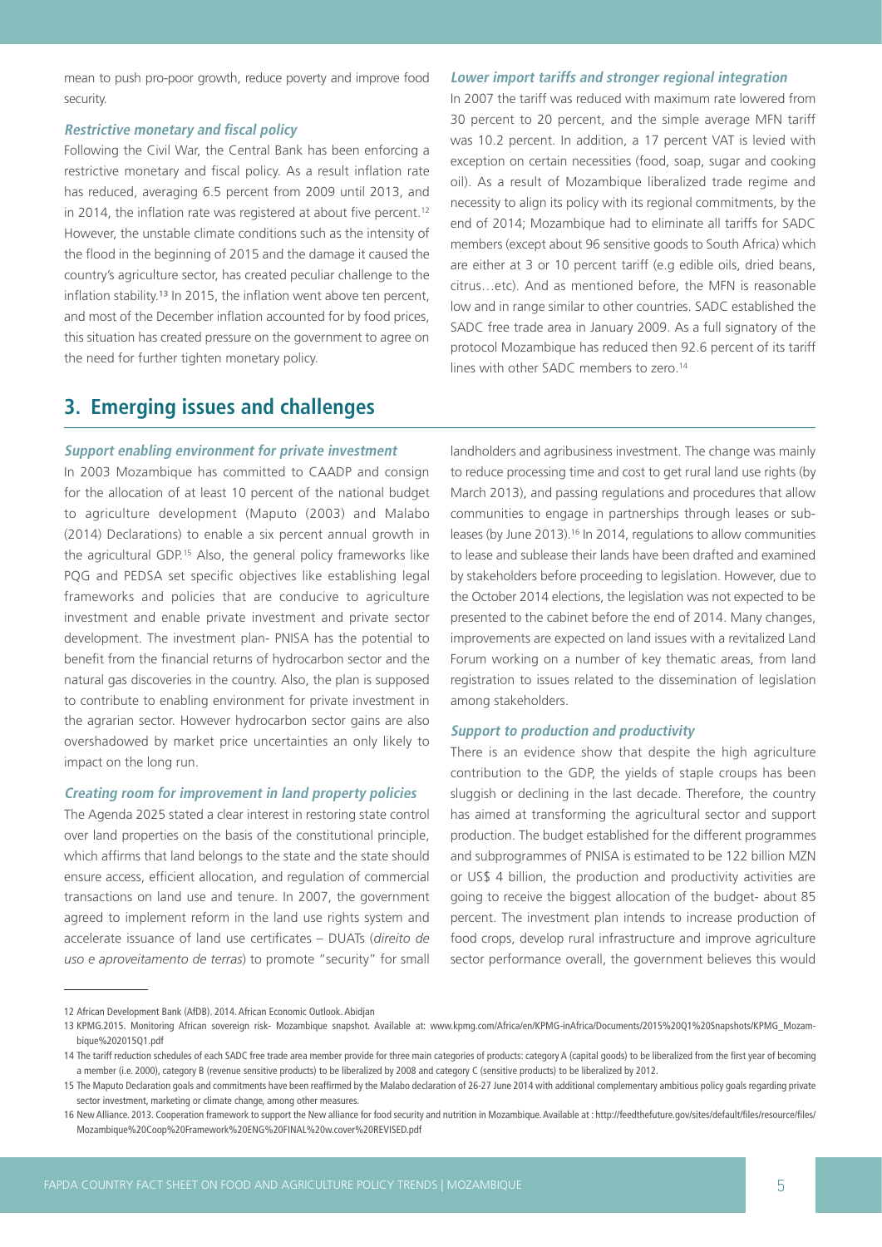mean to push pro-poor growth, reduce poverty and improve food security.

#### **Restrictive monetary and fiscal policy**

Following the Civil War, the Central Bank has been enforcing a restrictive monetary and fiscal policy. As a result inflation rate has reduced, averaging 6.5 percent from 2009 until 2013, and in 2014, the inflation rate was registered at about five percent.<sup>12</sup> However, the unstable climate conditions such as the intensity of the flood in the beginning of 2015 and the damage it caused the country's agriculture sector, has created peculiar challenge to the inflation stability.13 In 2015, the inflation went above ten percent, and most of the December inflation accounted for by food prices, this situation has created pressure on the government to agree on the need for further tighten monetary policy.

#### **Lower import tariffs and stronger regional integration**

In 2007 the tariff was reduced with maximum rate lowered from 30 percent to 20 percent, and the simple average MFN tariff was 10.2 percent. In addition, a 17 percent VAT is levied with exception on certain necessities (food, soap, sugar and cooking oil). As a result of Mozambique liberalized trade regime and necessity to align its policy with its regional commitments, by the end of 2014; Mozambique had to eliminate all tariffs for SADC members (except about 96 sensitive goods to South Africa) which are either at 3 or 10 percent tariff (e.g edible oils, dried beans, citrus…etc). And as mentioned before, the MFN is reasonable low and in range similar to other countries. SADC established the SADC free trade area in January 2009. As a full signatory of the protocol Mozambique has reduced then 92.6 percent of its tariff lines with other SADC members to zero.<sup>14</sup>

# **3. Emerging issues and challenges**

### **Support enabling environment for private investment**

In 2003 Mozambique has committed to CAADP and consign for the allocation of at least 10 percent of the national budget to agriculture development (Maputo (2003) and Malabo (2014) Declarations) to enable a six percent annual growth in the agricultural GDP.<sup>15</sup> Also, the general policy frameworks like PQG and PEDSA set specific objectives like establishing legal frameworks and policies that are conducive to agriculture investment and enable private investment and private sector development. The investment plan- PNISA has the potential to benefit from the financial returns of hydrocarbon sector and the natural gas discoveries in the country. Also, the plan is supposed to contribute to enabling environment for private investment in the agrarian sector. However hydrocarbon sector gains are also overshadowed by market price uncertainties an only likely to impact on the long run.

#### **Creating room for improvement in land property policies**

The Agenda 2025 stated a clear interest in restoring state control over land properties on the basis of the constitutional principle, which affirms that land belongs to the state and the state should ensure access, efficient allocation, and regulation of commercial transactions on land use and tenure. In 2007, the government agreed to implement reform in the land use rights system and accelerate issuance of land use certificates – DUATs (*direito de uso e aproveitamento de terras*) to promote "security" for small

landholders and agribusiness investment. The change was mainly to reduce processing time and cost to get rural land use rights (by March 2013), and passing regulations and procedures that allow communities to engage in partnerships through leases or subleases (by June 2013).16 In 2014, regulations to allow communities to lease and sublease their lands have been drafted and examined by stakeholders before proceeding to legislation. However, due to the October 2014 elections, the legislation was not expected to be presented to the cabinet before the end of 2014. Many changes, improvements are expected on land issues with a revitalized Land Forum working on a number of key thematic areas, from land registration to issues related to the dissemination of legislation among stakeholders.

### **Support to production and productivity**

There is an evidence show that despite the high agriculture contribution to the GDP, the yields of staple croups has been sluggish or declining in the last decade. Therefore, the country has aimed at transforming the agricultural sector and support production. The budget established for the different programmes and subprogrammes of PNISA is estimated to be 122 billion MZN or US\$ 4 billion, the production and productivity activities are going to receive the biggest allocation of the budget- about 85 percent. The investment plan intends to increase production of food crops, develop rural infrastructure and improve agriculture sector performance overall, the government believes this would

<sup>12</sup> African Development Bank (AfDB). 2014. African Economic Outlook. Abidjan

<sup>13</sup> KPMG.2015. Monitoring African sovereign risk- Mozambique snapshot. Available at: [www.kpmg.com/Africa/en/KPMG-inAfrica/Documents/2015%20Q1%20Snapshots/KPMG\\_Mozam](http://www.kpmg.com/Africa/en/KPMG-inAfrica/Documents/2015%20Q1%20Snapshots/KPMG_Mozambique%202015Q1.pdf )[bique%202015Q1.pdf](http://www.kpmg.com/Africa/en/KPMG-inAfrica/Documents/2015%20Q1%20Snapshots/KPMG_Mozambique%202015Q1.pdf ) 

<sup>14</sup> The tariff reduction schedules of each SADC free trade area member provide for three main categories of products: category A (capital goods) to be liberalized from the first year of becoming a member (i.e. 2000), category B (revenue sensitive products) to be liberalized by 2008 and category C (sensitive products) to be liberalized by 2012.

<sup>15</sup> The Maputo Declaration goals and commitments have been reaffirmed by the Malabo declaration of 26-27 June 2014 with additional complementary ambitious policy goals regarding private sector investment, marketing or climate change, among other measures.

<sup>16</sup> New Alliance. 2013. Cooperation framework to support the New alliance for food security and nutrition in Mozambique. Available at : [http://feedthefuture.gov/sites/default/files/resource/files/](http://feedthefuture.gov/sites/default/files/resource/files/Mozambique%20Coop%20Framework%20ENG%20FINAL%20w.cover%20REVISED.pdf) [Mozambique%20Coop%20Framework%20ENG%20FINAL%20w.cover%20REVISED.pdf](http://feedthefuture.gov/sites/default/files/resource/files/Mozambique%20Coop%20Framework%20ENG%20FINAL%20w.cover%20REVISED.pdf)